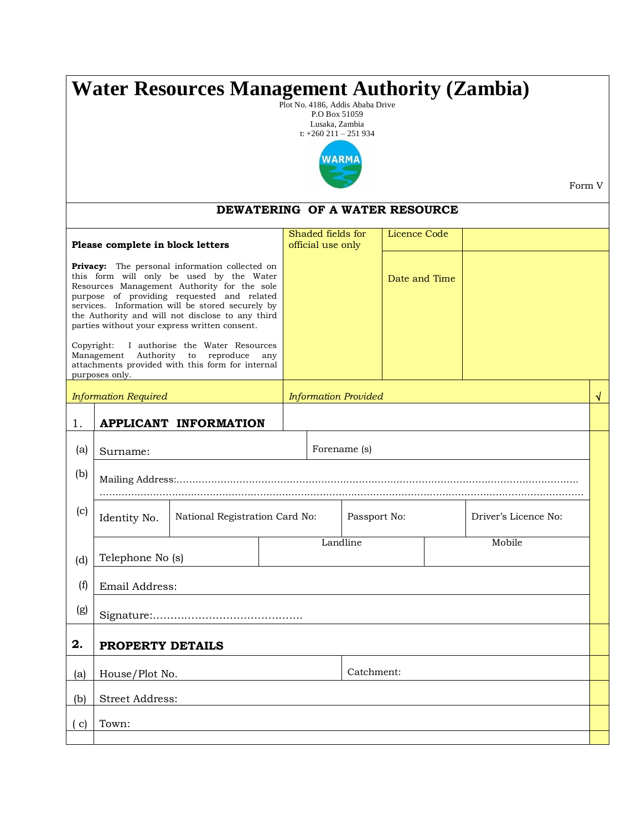| <b>Water Resources Management Authority (Zambia)</b><br>Plot No. 4186, Addis Ababa Drive<br>P.O Box 51059<br>Lusaka, Zambia<br>t: $+260$ 211 - 251 934                                                                                                                                                                                                  |                                                |                                |  |                                        |  |               |  |  |                      |  |
|---------------------------------------------------------------------------------------------------------------------------------------------------------------------------------------------------------------------------------------------------------------------------------------------------------------------------------------------------------|------------------------------------------------|--------------------------------|--|----------------------------------------|--|---------------|--|--|----------------------|--|
|                                                                                                                                                                                                                                                                                                                                                         | WARMA<br>Form V                                |                                |  |                                        |  |               |  |  |                      |  |
|                                                                                                                                                                                                                                                                                                                                                         |                                                | DEWATERING OF A WATER RESOURCE |  |                                        |  |               |  |  |                      |  |
|                                                                                                                                                                                                                                                                                                                                                         | Please complete in block letters               |                                |  | Shaded fields for<br>official use only |  | Licence Code  |  |  |                      |  |
| <b>Privacy:</b> The personal information collected on<br>this form will only be used by the Water<br>Resources Management Authority for the sole<br>purpose of providing requested and related<br>services. Information will be stored securely by<br>the Authority and will not disclose to any third<br>parties without your express written consent. |                                                |                                |  |                                        |  | Date and Time |  |  |                      |  |
| Copyright:<br>I authorise the Water Resources<br>Management Authority to reproduce<br>any<br>attachments provided with this form for internal<br>purposes only.                                                                                                                                                                                         |                                                |                                |  |                                        |  |               |  |  |                      |  |
| <b>Information Required</b>                                                                                                                                                                                                                                                                                                                             |                                                |                                |  | <b>Information Provided</b>            |  |               |  |  | √                    |  |
| 1.                                                                                                                                                                                                                                                                                                                                                      | <b>APPLICANT INFORMATION</b>                   |                                |  |                                        |  |               |  |  |                      |  |
| (a)                                                                                                                                                                                                                                                                                                                                                     | Surname:                                       |                                |  | Forename (s)                           |  |               |  |  |                      |  |
| (b)                                                                                                                                                                                                                                                                                                                                                     |                                                |                                |  |                                        |  |               |  |  |                      |  |
| (c)                                                                                                                                                                                                                                                                                                                                                     | National Registration Card No:<br>Identity No. |                                |  | Passport No:                           |  |               |  |  | Driver's Licence No: |  |
| (d)                                                                                                                                                                                                                                                                                                                                                     | Telephone No (s)                               |                                |  | Landline                               |  |               |  |  | Mobile               |  |
|                                                                                                                                                                                                                                                                                                                                                         |                                                |                                |  |                                        |  |               |  |  |                      |  |
| (f)                                                                                                                                                                                                                                                                                                                                                     | Email Address:                                 |                                |  |                                        |  |               |  |  |                      |  |
| (g)                                                                                                                                                                                                                                                                                                                                                     |                                                |                                |  |                                        |  |               |  |  |                      |  |
| 2.                                                                                                                                                                                                                                                                                                                                                      | PROPERTY DETAILS                               |                                |  |                                        |  |               |  |  |                      |  |
| (a)                                                                                                                                                                                                                                                                                                                                                     | House/Plot No.                                 |                                |  | Catchment:                             |  |               |  |  |                      |  |
| (b)                                                                                                                                                                                                                                                                                                                                                     | <b>Street Address:</b>                         |                                |  |                                        |  |               |  |  |                      |  |
| $\mathbf{c})$                                                                                                                                                                                                                                                                                                                                           | Town:                                          |                                |  |                                        |  |               |  |  |                      |  |
|                                                                                                                                                                                                                                                                                                                                                         |                                                |                                |  |                                        |  |               |  |  |                      |  |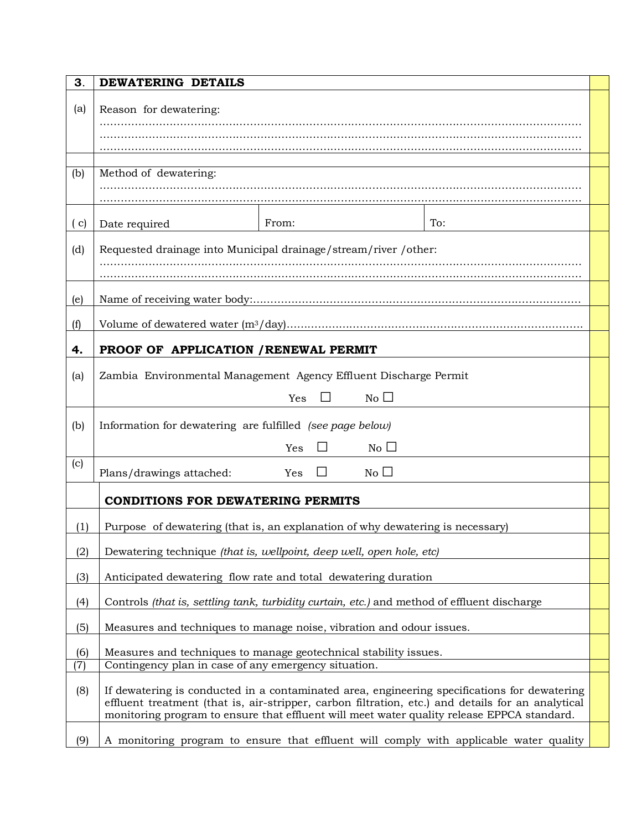| 3.         | DEWATERING DETAILS                                                                                                                                                                                                                                                                              |  |  |  |  |  |  |  |
|------------|-------------------------------------------------------------------------------------------------------------------------------------------------------------------------------------------------------------------------------------------------------------------------------------------------|--|--|--|--|--|--|--|
| (a)        | Reason for dewatering:                                                                                                                                                                                                                                                                          |  |  |  |  |  |  |  |
|            |                                                                                                                                                                                                                                                                                                 |  |  |  |  |  |  |  |
| (b)        | Method of dewatering:                                                                                                                                                                                                                                                                           |  |  |  |  |  |  |  |
|            |                                                                                                                                                                                                                                                                                                 |  |  |  |  |  |  |  |
| (c)        | From:<br>To:<br>Date required                                                                                                                                                                                                                                                                   |  |  |  |  |  |  |  |
| (d)        | Requested drainage into Municipal drainage/stream/river /other:                                                                                                                                                                                                                                 |  |  |  |  |  |  |  |
| (e)        |                                                                                                                                                                                                                                                                                                 |  |  |  |  |  |  |  |
| (f)        |                                                                                                                                                                                                                                                                                                 |  |  |  |  |  |  |  |
|            |                                                                                                                                                                                                                                                                                                 |  |  |  |  |  |  |  |
| 4.         | PROOF OF APPLICATION / RENEWAL PERMIT                                                                                                                                                                                                                                                           |  |  |  |  |  |  |  |
| (a)        | Zambia Environmental Management Agency Effluent Discharge Permit                                                                                                                                                                                                                                |  |  |  |  |  |  |  |
|            | $\overline{\phantom{a}}$<br>No $\square$<br>Yes                                                                                                                                                                                                                                                 |  |  |  |  |  |  |  |
| (b)        | Information for dewatering are fulfilled (see page below)                                                                                                                                                                                                                                       |  |  |  |  |  |  |  |
|            | $No$ $\square$<br>Yes                                                                                                                                                                                                                                                                           |  |  |  |  |  |  |  |
| (c)        | $\Box$<br>No $\square$<br>Plans/drawings attached:<br>Yes                                                                                                                                                                                                                                       |  |  |  |  |  |  |  |
|            | <b>CONDITIONS FOR DEWATERING PERMITS</b>                                                                                                                                                                                                                                                        |  |  |  |  |  |  |  |
| (1)        | Purpose of dewatering (that is, an explanation of why dewatering is necessary)                                                                                                                                                                                                                  |  |  |  |  |  |  |  |
| (2)        | Dewatering technique (that is, wellpoint, deep well, open hole, etc)                                                                                                                                                                                                                            |  |  |  |  |  |  |  |
| (3)        | Anticipated dewatering flow rate and total dewatering duration                                                                                                                                                                                                                                  |  |  |  |  |  |  |  |
| (4)        | Controls <i>(that is, settling tank, turbidity curtain, etc.)</i> and method of effluent discharge                                                                                                                                                                                              |  |  |  |  |  |  |  |
| (5)        | Measures and techniques to manage noise, vibration and odour issues.                                                                                                                                                                                                                            |  |  |  |  |  |  |  |
| (6)<br>(7) | Measures and techniques to manage geotechnical stability issues.<br>Contingency plan in case of any emergency situation.                                                                                                                                                                        |  |  |  |  |  |  |  |
| (8)        | If dewatering is conducted in a contaminated area, engineering specifications for dewatering<br>effluent treatment (that is, air-stripper, carbon filtration, etc.) and details for an analytical<br>monitoring program to ensure that effluent will meet water quality release EPPCA standard. |  |  |  |  |  |  |  |
| (9)        | A monitoring program to ensure that effluent will comply with applicable water quality                                                                                                                                                                                                          |  |  |  |  |  |  |  |